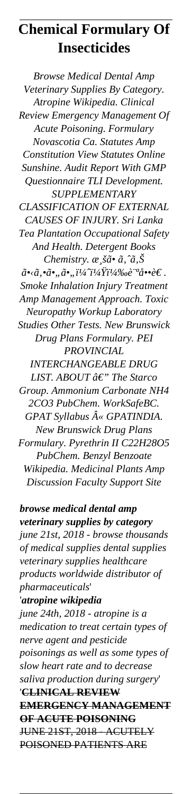# **Chemical Formulary Of Insecticides**

*Browse Medical Dental Amp Veterinary Supplies By Category. Atropine Wikipedia. Clinical Review Emergency Management Of Acute Poisoning. Formulary Novascotia Ca. Statutes Amp Constitution View Statutes Online Sunshine. Audit Report With GMP Questionnaire TLI Development. SUPPLEMENTARY CLASSIFICATION OF EXTERNAL CAUSES OF INJURY. Sri Lanka Tea Plantation Occupational Safety And Health. Detergent Books Chemistry.*  $\alpha_s$ *šã*•  $\tilde{a}$ ,  $\tilde{a}$ ,  $\tilde{S}$  $\tilde{a}$ • $\langle \tilde{a}, \tilde{a}, \tilde{a}, \tilde{a}, \tilde{a}\rangle$ <sup>1/4</sup> $\tilde{i}^{1/4}\tilde{Y}$ i<sup>1</sup>/4 $\%$ oè<sup>·*a*</sup>å••è $\in$ . *Smoke Inhalation Injury Treatment Amp Management Approach. Toxic Neuropathy Workup Laboratory Studies Other Tests. New Brunswick Drug Plans Formulary. PEI PROVINCIAL INTERCHANGEABLE DRUG LIST. ABOUT â€" The Starco Group. Ammonium Carbonate NH4 2CO3 PubChem. WorkSafeBC. GPAT Syllabus « GPATINDIA. New Brunswick Drug Plans Formulary. Pyrethrin II C22H28O5 PubChem. Benzyl Benzoate Wikipedia. Medicinal Plants Amp Discussion Faculty Support Site*

*browse medical dental amp veterinary supplies by category june 21st, 2018 - browse thousands of medical supplies dental supplies veterinary supplies healthcare products worldwide distributor of pharmaceuticals*' '*atropine wikipedia june 24th, 2018 - atropine is a medication to treat certain types of nerve agent and pesticide poisonings as well as some types of slow heart rate and to decrease saliva production during surgery*' '**CLINICAL REVIEW EMERGENCY MANAGEMENT OF ACUTE POISONING** JUNE 21ST, 2018 - ACUTELY POISONED PATIENTS ARE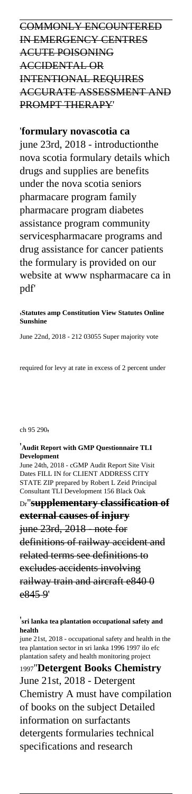COMMONLY ENCOUNTERED IN EMERGENCY CENTRES ACUTE POISONING ACCIDENTAL OR INTENTIONAL REQUIRES ACCURATE ASSESSMENT AND PROMPT THERAPY'

## '**formulary novascotia ca**

june 23rd, 2018 - introductionthe nova scotia formulary details which drugs and supplies are benefits under the nova scotia seniors pharmacare program family pharmacare program diabetes assistance program community servicespharmacare programs and drug assistance for cancer patients the formulary is provided on our website at www nspharmacare ca in pdf'

#### '**Statutes amp Constitution View Statutes Online Sunshine**

June 22nd, 2018 - 212 03055 Super majority vote

required for levy at rate in excess of 2 percent under

#### ch 95 290,

'**Audit Report with GMP Questionnaire TLI Development** June 24th, 2018 - cGMP Audit Report Site Visit Dates FILL IN for CLIENT ADDRESS CITY STATE ZIP prepared by Robert L Zeid Principal Consultant TLI Development 156 Black Oak Dr''**supplementary classification of external causes of injury** june 23rd, 2018 - note for definitions of railway accident and related terms see definitions to excludes accidents involving railway train and aircraft e840 0 e845 9'

'**sri lanka tea plantation occupational safety and**

#### **health**

june 21st, 2018 - occupational safety and health in the tea plantation sector in sri lanka 1996 1997 ilo efc plantation safety and health monitoring project

## <sup>1997</sup>''**Detergent Books Chemistry**

June 21st, 2018 - Detergent

Chemistry A must have compilation

of books on the subject Detailed

information on surfactants

detergents formularies technical specifications and research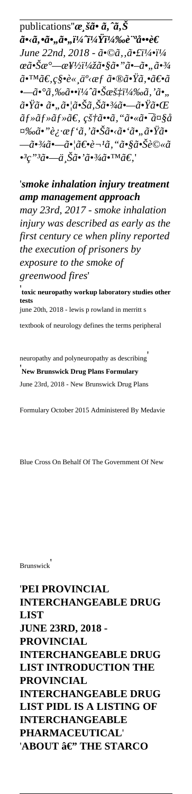publications" $\alpha_s$ šã• ã, ^ã, Š  $\tilde{a}$ •< $\tilde{a}$ ,• $\tilde{a}$ •, $\tilde{a}$ •, $\tilde{i}^{1/4}$ 'i<sup>1</sup>/<sub>4</sub>'/<sub>4</sub>'/<sub>00</sub><sup>e· $a$ </sup>å••è€ *June 22nd, 2018 -*  $\tilde{a} \cdot \mathbb{O} \tilde{a}$ *,*  $\tilde{a} \cdot \tilde{t} i^{1/4} \cdot i^{1/4}$  $\alpha\tilde{a}$ •Š $\alpha^{\circ}$ — $\alpha$ ¥½ï¼ž $\tilde{a}$ •§ $\tilde{a}$ •" $\tilde{a}$ •– $\tilde{a}$ •" $\tilde{a}$ •¾  $\tilde{a}$ •™ $\tilde{a} \in \mathcal{C}$ §•è« ä $^o$ ‹æf  $\tilde{a}$ •® $\tilde{a}$ •Ÿ $\tilde{a}$ ,• $\tilde{a} \in \tilde{a}$ •—ã•°ã,‰ã••ï<sup>1</sup>/4^㕊暇ï<sup>1</sup>/4‰ã, 'ã•,,  $\tilde{a}$ • $\tilde{Y}$  $\tilde{a}$ • $\tilde{a}$ • $\tilde{a}$ • $\tilde{S}$  $\tilde{a}$ • $\tilde{S}$  $\tilde{a}$ • $\tilde{A}$ • $\tilde{B}$ • $\tilde{C}$  $\tilde{C}$  $\tilde{a}$ f» $\tilde{a}$ f» $\tilde{a}$ f» $\tilde{a}$ €, 皆 $\tilde{a}$ •• $\tilde{a}$ , " $\tilde{a}$ •« $\tilde{a}$ •<sup>-</sup> $\tilde{a}$ ¤§ $\tilde{a}$ ¤‰ã•"è¿∙æf'ã, '㕊ã•<ã•'ã•"㕟ã• —㕾㕗㕦〕è¬<sup>1</sup>ã, "㕧㕊è©«ã •<sup>3</sup>ç"<sup>3</sup>㕗上ã•'ã•<sup>3</sup>/4ã•™ã€,'

'*smoke inhalation injury treatment amp management approach may 23rd, 2017 - smoke inhalation injury was described as early as the first century ce when pliny reported the execution of prisoners by exposure to the smoke of greenwood fires*'

**PROVINCIAL INTERCHANGEABLE DRUG LIST INTRODUCTION THE PROVINCIAL INTERCHANGEABLE DRUG LIST PIDL IS A LISTING OF INTERCHANGEABLE PHARMACEUTICAL**' 'ABOUT â€" THE STARCO

' **toxic neuropathy workup laboratory studies other tests** june 20th, 2018 - lewis p rowland in merritt s

textbook of neurology defines the terms peripheral

neuropathy and polyneuropathy as describing' '**New Brunswick Drug Plans Formulary** June 23rd, 2018 - New Brunswick Drug Plans

Formulary October 2015 Administered By Medavie

Blue Cross On Behalf Of The Government Of New

Brunswick'

## '**PEI PROVINCIAL INTERCHANGEABLE DRUG LIST JUNE 23RD, 2018 -**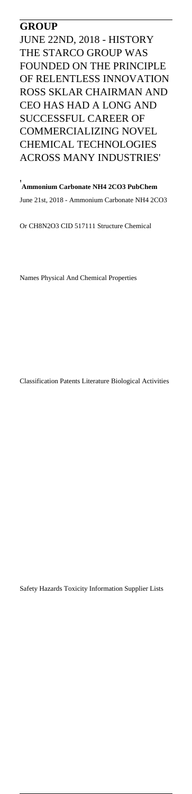#### **GROUP**

JUNE 22ND, 2018 - HISTORY THE STARCO GROUP WAS FOUNDED ON THE PRINCIPLE OF RELENTLESS INNOVATION ROSS SKLAR CHAIRMAN AND CEO HAS HAD A LONG AND SUCCESSFUL CAREER OF COMMERCIALIZING NOVEL CHEMICAL TECHNOLOGIES ACROSS MANY INDUSTRIES'

'**Ammonium Carbonate NH4 2CO3 PubChem** June 21st, 2018 - Ammonium Carbonate NH4 2CO3

Or CH8N2O3 CID 517111 Structure Chemical

Names Physical And Chemical Properties

Classification Patents Literature Biological Activities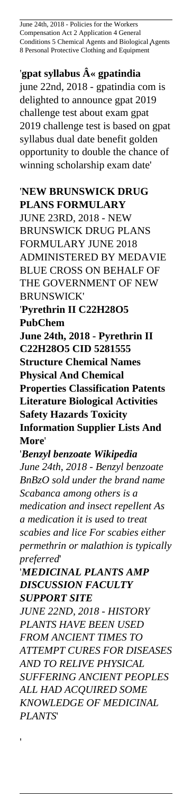June 24th, 2018 - Policies for the Workers Compensation Act 2 Application 4 General Conditions 5 Chemical Agents and Biological Agents 8 Personal Protective Clothing and Equipment'

'gpat syllabus  $\hat{A}$ « gpatindia

june 22nd, 2018 - gpatindia com is delighted to announce gpat 2019 challenge test about exam gpat 2019 challenge test is based on gpat syllabus dual date benefit golden opportunity to double the chance of winning scholarship exam date'

#### '**NEW BRUNSWICK DRUG PLANS FORMULARY**

JUNE 23RD, 2018 - NEW BRUNSWICK DRUG PLANS FORMULARY JUNE 2018 ADMINISTERED BY MEDAVIE BLUE CROSS ON BEHALF OF THE GOVERNMENT OF NEW BRUNSWICK' '**Pyrethrin II C22H28O5**

**PubChem**

**June 24th, 2018 - Pyrethrin II C22H28O5 CID 5281555 Structure Chemical Names Physical And Chemical Properties Classification Patents Literature Biological Activities Safety Hazards Toxicity Information Supplier Lists And More**'

'*Benzyl benzoate Wikipedia June 24th, 2018 - Benzyl benzoate BnBzO sold under the brand name Scabanca among others is a medication and insect repellent As a medication it is used to treat scabies and lice For scabies either permethrin or malathion is typically preferred*'

'*MEDICINAL PLANTS AMP DISCUSSION FACULTY SUPPORT SITE JUNE 22ND, 2018 - HISTORY PLANTS HAVE BEEN USED*

*FROM ANCIENT TIMES TO ATTEMPT CURES FOR DISEASES AND TO RELIVE PHYSICAL SUFFERING ANCIENT PEOPLES ALL HAD ACQUIRED SOME KNOWLEDGE OF MEDICINAL PLANTS*'

'